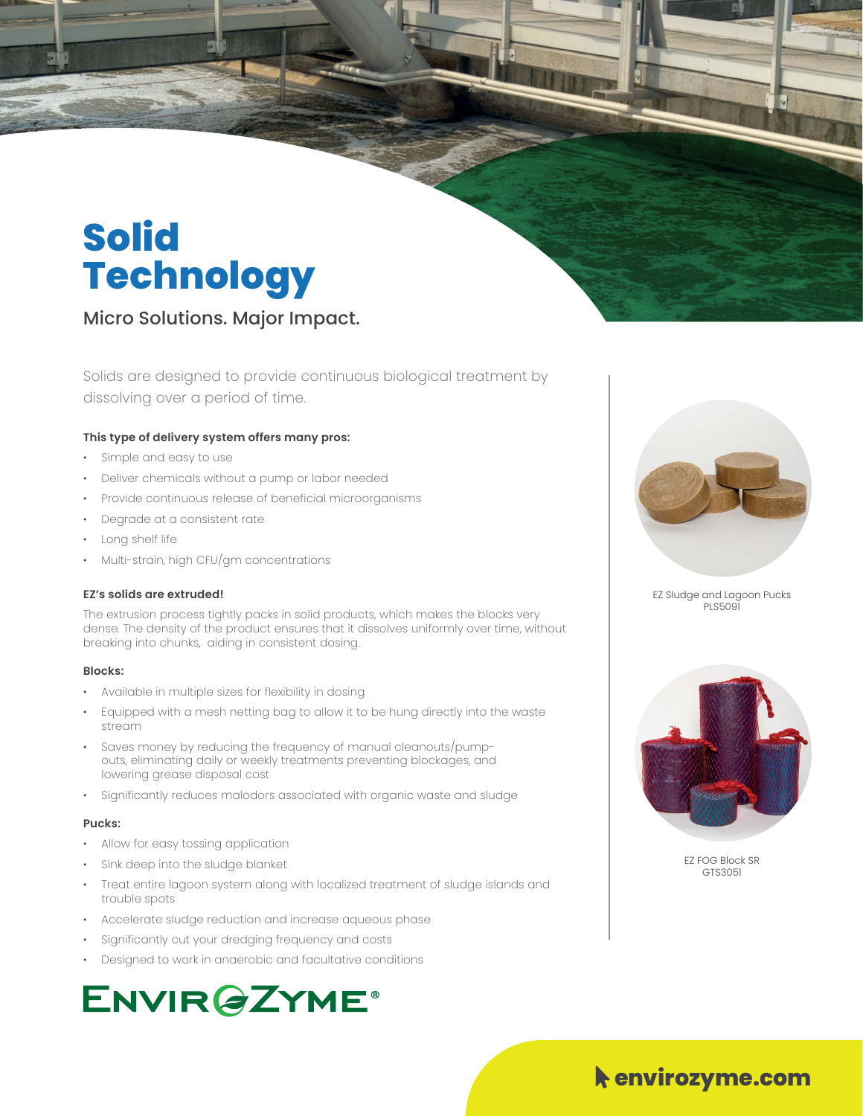## **Solid Technology**

Micro Solutions. Major Impact.

Solids are designed to provide continuous biological treatment by dissolving over a period of time.

#### **This type of delivery system offers many pros:**

- Simple and easy to use
- Deliver chemicals without a pump or labor needed
- Provide continuous release of beneficial microorganisms
- Degrade at a consistent rate
- Long shelf life
- Multi-strain, high CFU/gm concentrations

#### **EZ's solids are extruded!**

The extrusion process tightly packs in solid products, which makes the blocks very dense. The density of the product ensures that it dissolves uniformly over time, without breaking into chunks, aiding in consistent dosing.

#### **Blocks:**

- Available in multiple sizes for flexibility in dosing
- Equipped with a mesh netting bag to allow it to be hung directly into the waste stream
- Saves money by reducing the frequency of manual cleanouts/pumpouts, eliminating daily or weekly treatments preventing blockages, and lowering grease disposal cost
- Significantly reduces malodors associated with organic waste and sludge

#### **Pucks:**

- Allow for easy tossing application
- Sink deep into the sludge blanket
- Treat entire lagoon system along with localized treatment of sludge islands and trouble spots
- Accelerate sludge reduction and increase aqueous phase
- Significantly cut your dredging frequency and costs
- Designed to work in anaerobic and facultative conditions

### **ENVIR@ZYME®**



EZ Sludge and Lagoon Pucks PLS5091



EZ FOG Block SR GTS3051

### Mouse-Pointer **envirozyme.com**